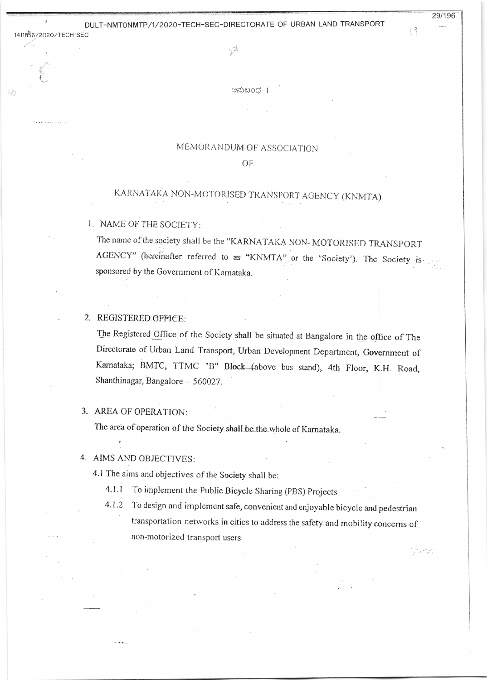## DULT-NMT0NMTP/1/2020-TECH-SEC-DIRECTORATE OF URBAN LAND TRANSPORT

 $\{9$ 

29/196

Ly

ಅನುಬಂಧ–1

### MEMORANDUM OF ASSOCIATION

#### OF

# KARNATAKA NON-MOTORISED TRANSPORT AGENCY (KNMTA)

#### 1. NAME OF THE SOCIETY:

1411856/2020/TECH SEC

. . . . . . . . . . .

The name of the society shall be the "KARNATAKA NON-MOTORISED TRANSPORT AGENCY" (hereinafter referred to as "KNMTA" or the 'Society'). The Society is: sponsored by the Government of Karnataka.

## 2. REGISTERED OFFICE:

The Registered Office of the Society shall be situated at Bangalore in the office of The Directorate of Urban Land Transport, Urban Development Department, Government of Karnataka; BMTC, TTMC "B" Block (above bus stand), 4th Floor, K.H. Road, Shanthinagar, Bangalore - 560027.

### 3. AREA OF OPERATION:

The area of operation of the Society shall be the whole of Karnataka.

## 4. AIMS AND OBJECTIVES:

4.1 The aims and objectives of the Society shall be:

- $4.1.1$ To implement the Public Bicycle Sharing (PBS) Projects
- To design and implement safe, convenient and enjoyable bicycle and pedestrian  $4.1.2$ transportation networks in cities to address the safety and mobility concerns of non-motorized transport users